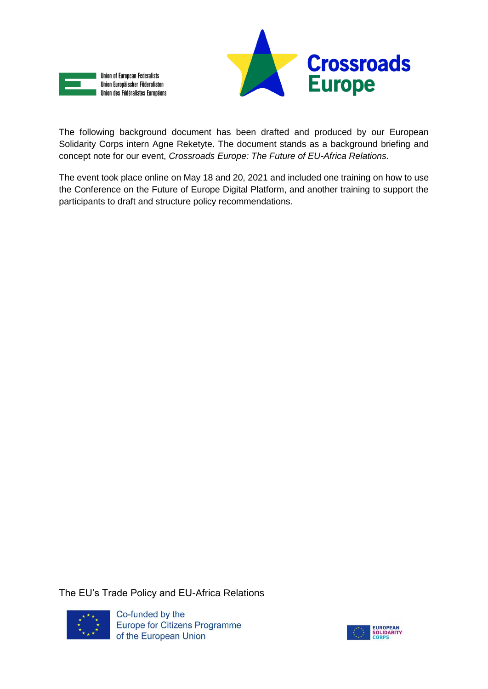



The following background document has been drafted and produced by our European Solidarity Corps intern Agne Reketyte. The document stands as a background briefing and concept note for our event, *Crossroads Europe: The Future of EU-Africa Relations.*

The event took place online on May 18 and 20, 2021 and included one training on how to use the Conference on the Future of Europe Digital Platform, and another training to support the participants to draft and structure policy recommendations.

The EU's Trade Policy and EU-Africa Relations



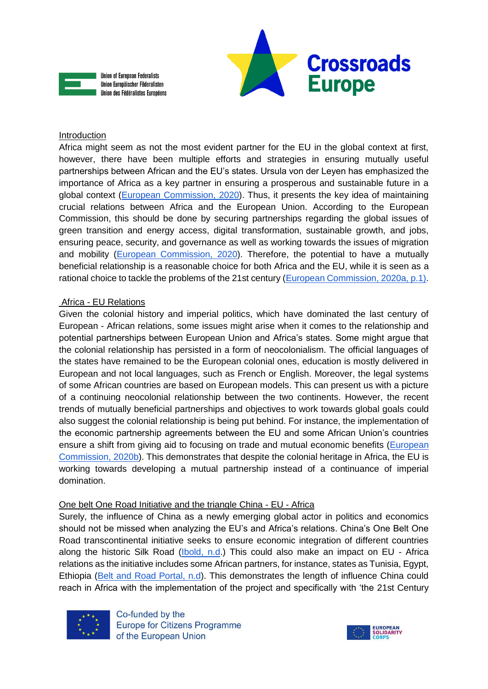



#### Introduction

Africa might seem as not the most evident partner for the EU in the global context at first, however, there have been multiple efforts and strategies in ensuring mutually useful partnerships between African and the EU's states. Ursula von der Leyen has emphasized the importance of Africa as a key partner in ensuring a prosperous and sustainable future in a global context [\(European Commission, 2020\)](https://ec.europa.eu/international-partnerships/topics/africa-eu-partnership_en). Thus, it presents the key idea of maintaining crucial relations between Africa and the European Union. According to the European Commission, this should be done by securing partnerships regarding the global issues of green transition and energy access, digital transformation, sustainable growth, and jobs, ensuring peace, security, and governance as well as working towards the issues of migration and mobility [\(European Commission, 2020\)](https://ec.europa.eu/international-partnerships/topics/africa-eu-partnership_en). Therefore, the potential to have a mutually beneficial relationship is a reasonable choice for both Africa and the EU, while it is seen as a rational choice to tackle the problems of the 21st century [\(European Commission, 2020a, p.1\).](https://eur-lex.europa.eu/legal-content/FR/TXT/?uri=CELEX:52020JC0004)

### Africa - EU Relations

Given the colonial history and imperial politics, which have dominated the last century of European - African relations, some issues might arise when it comes to the relationship and potential partnerships between European Union and Africa's states. Some might argue that the colonial relationship has persisted in a form of neocolonialism. The official languages of the states have remained to be the European colonial ones, education is mostly delivered in European and not local languages, such as French or English. Moreover, the legal systems of some African countries are based on European models. This can present us with a picture of a continuing neocolonial relationship between the two continents. However, the recent trends of mutually beneficial partnerships and objectives to work towards global goals could also suggest the colonial relationship is being put behind. For instance, the implementation of the economic partnership agreements between the EU and some African Union's countries ensure a shift from giving aid to focusing on trade and mutual economic benefits [\(European](https://ec.europa.eu/trade/policy/countries-and-regions/development/economic-partnerships/#:~:text=The%20EU%20is%20Sub-Saharan%20Africa%E2%80%99s%20second-biggest%20trading%20partner)  [Commission, 2020b\)](https://ec.europa.eu/trade/policy/countries-and-regions/development/economic-partnerships/#:~:text=The%20EU%20is%20Sub-Saharan%20Africa%E2%80%99s%20second-biggest%20trading%20partner). This demonstrates that despite the colonial heritage in Africa, the EU is working towards developing a mutual partnership instead of a continuance of imperial domination.

### One belt One Road Initiative and the triangle China - EU - Africa

Surely, the influence of China as a newly emerging global actor in politics and economics should not be missed when analyzing the EU's and Africa's relations. China's One Belt One Road transcontinental initiative seeks to ensure economic integration of different countries along the historic Silk Road [\(Ibold, n.d.](https://www.beltroad-initiative.com/belt-and-road/)) This could also make an impact on EU - Africa relations as the initiative includes some African partners, for instance, states as Tunisia, Egypt, Ethiopia [\(Belt and Road Portal, n.d\)](https://eng.yidaiyilu.gov.cn/gbjj.htm). This demonstrates the length of influence China could reach in Africa with the implementation of the project and specifically with 'the 21st Century



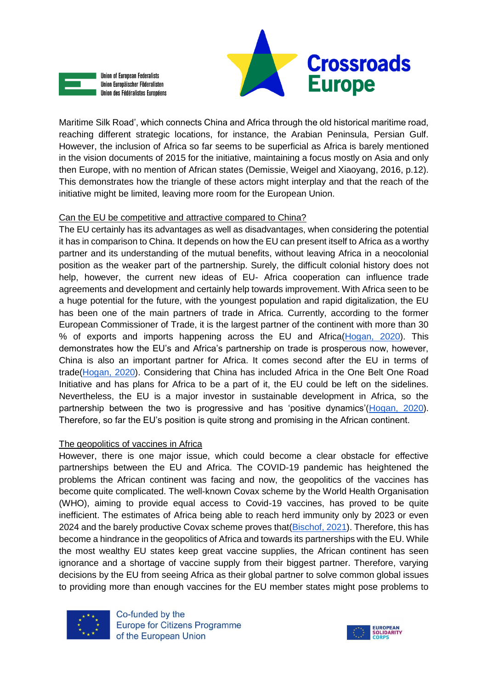



Maritime Silk Road', which connects China and Africa through the old historical maritime road, reaching different strategic locations, for instance, the Arabian Peninsula, Persian Gulf. However, the inclusion of Africa so far seems to be superficial as Africa is barely mentioned in the vision documents of 2015 for the initiative, maintaining a focus mostly on Asia and only then Europe, with no mention of African states (Demissie, Weigel and Xiaoyang, 2016, p.12). This demonstrates how the triangle of these actors might interplay and that the reach of the initiative might be limited, leaving more room for the European Union.

### Can the EU be competitive and attractive compared to China?

The EU certainly has its advantages as well as disadvantages, when considering the potential it has in comparison to China. It depends on how the EU can present itself to Africa as a worthy partner and its understanding of the mutual benefits, without leaving Africa in a neocolonial position as the weaker part of the partnership. Surely, the difficult colonial history does not help, however, the current new ideas of EU- Africa cooperation can influence trade agreements and development and certainly help towards improvement. With Africa seen to be a huge potential for the future, with the youngest population and rapid digitalization, the EU has been one of the main partners of trade in Africa. Currently, according to the former European Commissioner of Trade, it is the largest partner of the continent with more than 30 % of exports and imports happening across the EU and Africa[\(Hogan, 2020\)](https://ecdpm.org/great-insights/african-continental-free-trade-area-agreement-impact/africa-europe-trade-partnership/). This demonstrates how the EU's and Africa's partnership on trade is prosperous now, however, China is also an important partner for Africa. It comes second after the EU in terms of trade[\(Hogan, 2020\)](https://ecdpm.org/great-insights/african-continental-free-trade-area-agreement-impact/africa-europe-trade-partnership/). Considering that China has included Africa in the One Belt One Road Initiative and has plans for Africa to be a part of it, the EU could be left on the sidelines. Nevertheless, the EU is a major investor in sustainable development in Africa, so the partnership between the two is progressive and has 'positive dynamics'[\(Hogan, 2020\)](https://ecdpm.org/great-insights/african-continental-free-trade-area-agreement-impact/africa-europe-trade-partnership/). Therefore, so far the EU's position is quite strong and promising in the African continent.

### The geopolitics of vaccines in Africa

However, there is one major issue, which could become a clear obstacle for effective partnerships between the EU and Africa. The COVID-19 pandemic has heightened the problems the African continent was facing and now, the geopolitics of the vaccines has become quite complicated. The well-known Covax scheme by the World Health Organisation (WHO), aiming to provide equal access to Covid-19 vaccines, has proved to be quite inefficient. The estimates of Africa being able to reach herd immunity only by 2023 or even 2024 and the barely productive Covax scheme proves that[\(Bischof, 2021\)](https://qz.com/africa/1989935/when-will-africans-be-vaccinated-against-the-coronavirus). Therefore, this has become a hindrance in the geopolitics of Africa and towards its partnerships with the EU. While the most wealthy EU states keep great vaccine supplies, the African continent has seen ignorance and a shortage of vaccine supply from their biggest partner. Therefore, varying decisions by the EU from seeing Africa as their global partner to solve common global issues to providing more than enough vaccines for the EU member states might pose problems to



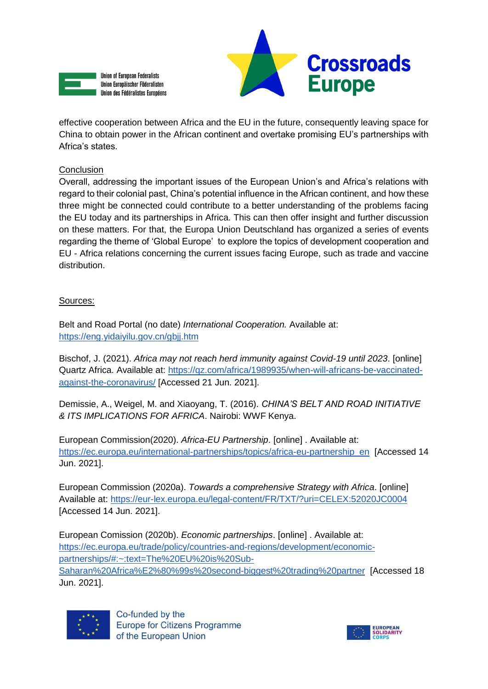



effective cooperation between Africa and the EU in the future, consequently leaving space for China to obtain power in the African continent and overtake promising EU's partnerships with Africa's states.

# **Conclusion**

Overall, addressing the important issues of the European Union's and Africa's relations with regard to their colonial past, China's potential influence in the African continent, and how these three might be connected could contribute to a better understanding of the problems facing the EU today and its partnerships in Africa. This can then offer insight and further discussion on these matters. For that, the Europa Union Deutschland has organized a series of events regarding the theme of 'Global Europe' to explore the topics of development cooperation and EU - Africa relations concerning the current issues facing Europe, such as trade and vaccine distribution.

## Sources:

Belt and Road Portal (no date) *International Cooperation.* Available at[:](https://eng.yidaiyilu.gov.cn/gbjj.htm) <https://eng.yidaiyilu.gov.cn/gbjj.htm>

Bischof, J. (2021). *Africa may not reach herd immunity against Covid-19 until 2023*. [online] Quartz Africa. Available at: [https://qz.com/africa/1989935/when-will-africans-be-vaccinated](https://qz.com/africa/1989935/when-will-africans-be-vaccinated-against-the-coronavirus/)[against-the-coronavirus/](https://qz.com/africa/1989935/when-will-africans-be-vaccinated-against-the-coronavirus/) [Accessed 21 Jun. 2021].

Demissie, A., Weigel, M. and Xiaoyang, T. (2016). *CHINA'S BELT AND ROAD INITIATIVE & ITS IMPLICATIONS FOR AFRICA*. Nairobi: WWF Kenya.

European Commission(2020). *Africa-EU Partnership*. [online] . Available at[:](https://ec.europa.eu/international-partnerships/topics/africa-eu-partnership_en) [https://ec.europa.eu/international-partnerships/topics/africa-eu-partnership\\_en](https://ec.europa.eu/international-partnerships/topics/africa-eu-partnership_en) [Accessed 14 Jun. 2021].

European Commission (2020a). *Towards a comprehensive Strategy with Africa*. [online] Available at[:](https://eur-lex.europa.eu/legal-content/FR/TXT/?uri=CELEX:52020JC0004) <https://eur-lex.europa.eu/legal-content/FR/TXT/?uri=CELEX:52020JC0004> [Accessed 14 Jun. 2021].

European Comission (2020b). *Economic partnerships*. [online] . Available at: https://ec.europa.eu/trade/policy/countries-and-regions/development/economicpartnerships/#:~:text=The%20EU%20is%20Sub-Saharan%20Africa%E2%80%99s%20second-biggest%20trading%20partner [Accessed 18 Jun. 2021].